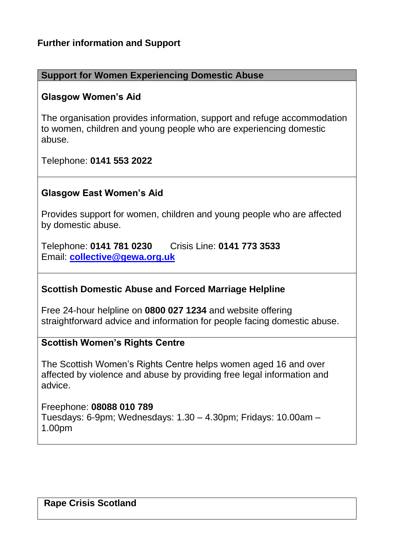## **Further information and Support**

#### **Support for Women Experiencing Domestic Abuse**

#### **Glasgow Women's Aid**

The organisation provides information, support and refuge accommodation to women, children and young people who are experiencing domestic abuse.

Telephone: **0141 553 2022**

### **Glasgow East Women's Aid**

Provides support for women, children and young people who are affected by domestic abuse.

Telephone: **0141 781 0230** Crisis Line: **0141 773 3533** Email: **[collective@gewa.org.uk](mailto:collective@gewa.org.uk)**

#### **Scottish Domestic Abuse and Forced Marriage Helpline**

Free 24-hour helpline on **0800 027 1234** and website offering straightforward advice and information for people facing domestic abuse.

#### **Scottish Women's Rights Centre**

The Scottish Women's Rights Centre helps women aged 16 and over affected by violence and abuse by providing free legal information and advice.

Freephone: **08088 010 789** Tuesdays: 6-9pm; Wednesdays: 1.30 – 4.30pm; Fridays: 10.00am – 1.00pm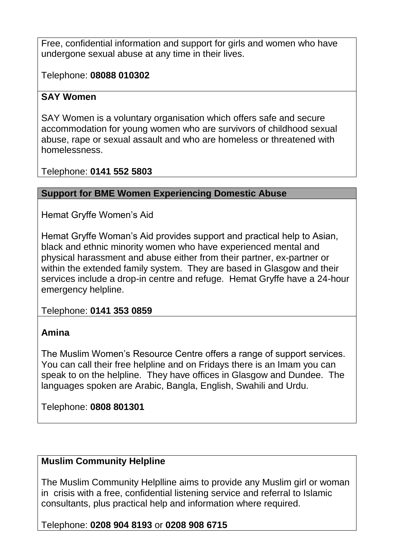Free, confidential information and support for girls and women who have undergone sexual abuse at any time in their lives.

Telephone: **08088 010302**

## **SAY Women**

SAY Women is a voluntary organisation which offers safe and secure accommodation for young women who are survivors of childhood sexual abuse, rape or sexual assault and who are homeless or threatened with homelessness.

Telephone: **0141 552 5803**

## **Support for BME Women Experiencing Domestic Abuse**

Hemat Gryffe Women's Aid

Hemat Gryffe Woman's Aid provides support and practical help to Asian, black and ethnic minority women who have experienced mental and physical harassment and abuse either from their partner, ex-partner or within the extended family system. They are based in Glasgow and their services include a drop-in centre and refuge. Hemat Gryffe have a 24-hour emergency helpline.

Telephone: **0141 353 0859**

# **Amina**

The Muslim Women's Resource Centre offers a range of support services. You can call their free helpline and on Fridays there is an Imam you can speak to on the helpline. They have offices in Glasgow and Dundee. The languages spoken are Arabic, Bangla, English, Swahili and Urdu.

Telephone: **0808 801301**

# **Muslim Community Helpline**

The Muslim Community Helplline aims to provide any Muslim girl or woman in crisis with a free, confidential listening service and referral to Islamic consultants, plus practical help and information where required.

Telephone: **0208 904 8193** or **0208 908 6715**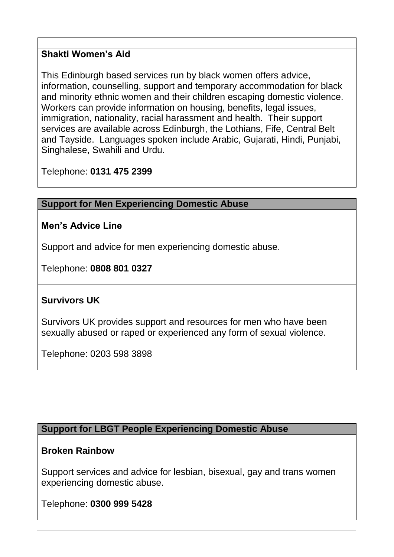### **Shakti Women's Aid**

This Edinburgh based services run by black women offers advice, information, counselling, support and temporary accommodation for black and minority ethnic women and their children escaping domestic violence. Workers can provide information on housing, benefits, legal issues, immigration, nationality, racial harassment and health. Their support services are available across Edinburgh, the Lothians, Fife, Central Belt and Tayside. Languages spoken include Arabic, Gujarati, Hindi, Punjabi, Singhalese, Swahili and Urdu.

Telephone: **0131 475 2399**

#### **Support for Men Experiencing Domestic Abuse**

#### **Men's Advice Line**

Support and advice for men experiencing domestic abuse.

Telephone: **0808 801 0327**

## **Survivors UK**

Survivors UK provides support and resources for men who have been sexually abused or raped or experienced any form of sexual violence.

Telephone: 0203 598 3898

#### **Support for LBGT People Experiencing Domestic Abuse**

#### **Broken Rainbow**

Support services and advice for lesbian, bisexual, gay and trans women experiencing domestic abuse.

Telephone: **0300 999 5428**